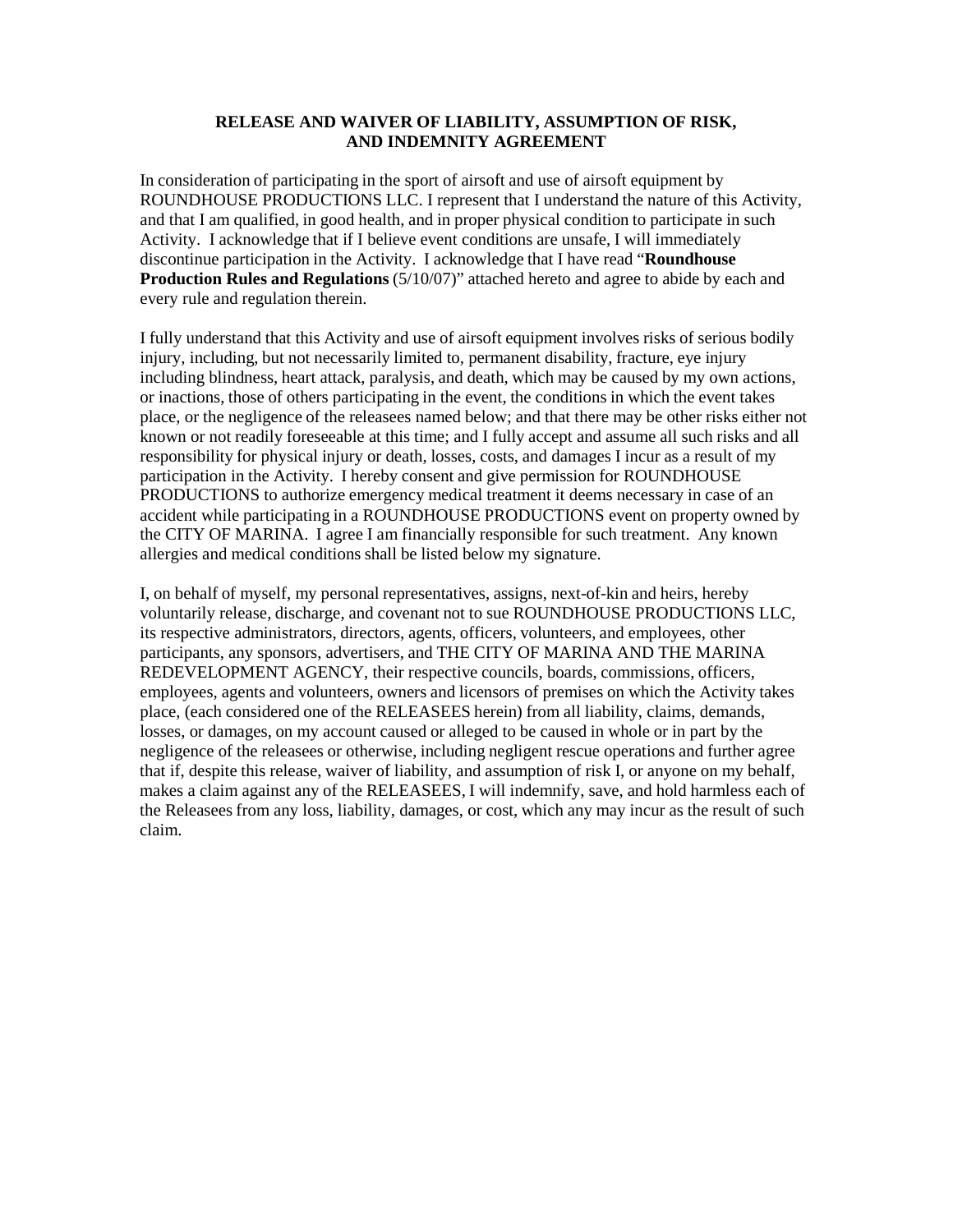## **RELEASE AND WAIVER OF LIABILITY, ASSUMPTION OF RISK, AND INDEMNITY AGREEMENT**

In consideration of participating in the sport of airsoft and use of airsoft equipment by ROUNDHOUSE PRODUCTIONS LLC. I represent that I understand the nature of this Activity, and that I am qualified, in good health, and in proper physical condition to participate in such Activity. I acknowledge that if I believe event conditions are unsafe, I will immediately discontinue participation in the Activity. I acknowledge that I have read "**Roundhouse Production Rules and Regulations** (5/10/07)" attached hereto and agree to abide by each and every rule and regulation therein.

I fully understand that this Activity and use of airsoft equipment involves risks of serious bodily injury, including, but not necessarily limited to, permanent disability, fracture, eye injury including blindness, heart attack, paralysis, and death, which may be caused by my own actions, or inactions, those of others participating in the event, the conditions in which the event takes place, or the negligence of the releasees named below; and that there may be other risks either not known or not readily foreseeable at this time; and I fully accept and assume all such risks and all responsibility for physical injury or death, losses, costs, and damages I incur as a result of my participation in the Activity. I hereby consent and give permission for ROUNDHOUSE PRODUCTIONS to authorize emergency medical treatment it deems necessary in case of an accident while participating in a ROUNDHOUSE PRODUCTIONS event on property owned by the CITY OF MARINA. I agree I am financially responsible for such treatment. Any known allergies and medical conditions shall be listed below my signature.

I, on behalf of myself, my personal representatives, assigns, next-of-kin and heirs, hereby voluntarily release, discharge, and covenant not to sue ROUNDHOUSE PRODUCTIONS LLC, its respective administrators, directors, agents, officers, volunteers, and employees, other participants, any sponsors, advertisers, and THE CITY OF MARINA AND THE MARINA REDEVELOPMENT AGENCY, their respective councils, boards, commissions, officers, employees, agents and volunteers, owners and licensors of premises on which the Activity takes place, (each considered one of the RELEASEES herein) from all liability, claims, demands, losses, or damages, on my account caused or alleged to be caused in whole or in part by the negligence of the releasees or otherwise, including negligent rescue operations and further agree that if, despite this release, waiver of liability, and assumption of risk I, or anyone on my behalf, makes a claim against any of the RELEASEES, I will indemnify, save, and hold harmless each of the Releasees from any loss, liability, damages, or cost, which any may incur as the result of such claim.